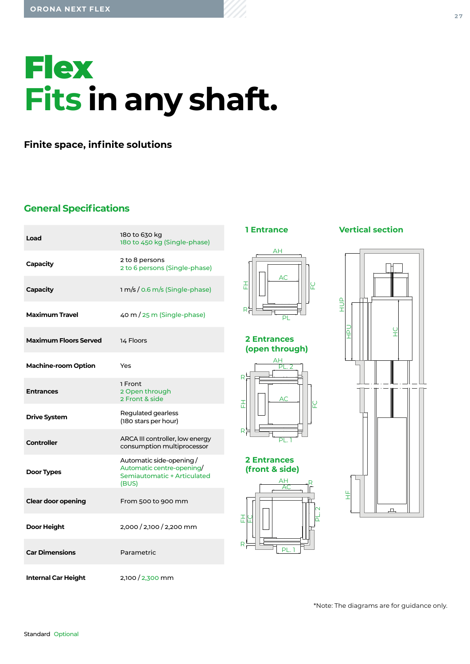# **Flex Fits in any shaft.**

**Finite space, infinite solutions**

## **General Specifications**

| Load                         | 180 to 630 kg<br>180 to 450 kg (Single-phase)                                                |
|------------------------------|----------------------------------------------------------------------------------------------|
| Capacity                     | 2 to 8 persons<br>2 to 6 persons (Single-phase)                                              |
| <b>Capacity</b>              | 1 m/s / 0.6 m/s (Single-phase)                                                               |
| Maximum Travel               | $40 \text{ m} / 25 \text{ m}$ (Single-phase)                                                 |
| <b>Maximum Floors Served</b> | 14 Floors                                                                                    |
| <b>Machine-room Option</b>   | Yes                                                                                          |
| <b>Entrances</b>             | 1 Front<br>2 Open through<br>2 Front & side                                                  |
| <b>Drive System</b>          | Regulated gearless<br>(180 stars per hour)                                                   |
| Controller                   | ARCA III controller, low energy<br>consumption multiprocessor                                |
|                              |                                                                                              |
| Door Types                   | Automatic side-opening/<br>Automatic centre-opening/<br>Semiautomatic + Articulated<br>(BUS) |
| <b>Clear door opening</b>    | From 500 to 900 mm                                                                           |
| Door Height                  | 2,000 / 2,100 / 2,200 mm                                                                     |
| <b>Car Dimensions</b>        | Parametric                                                                                   |



#### **2 Entrances (open through)**



#### **2 Entrances (front & side)**



## **Vertical section**



\*Note: The diagrams are for guidance only.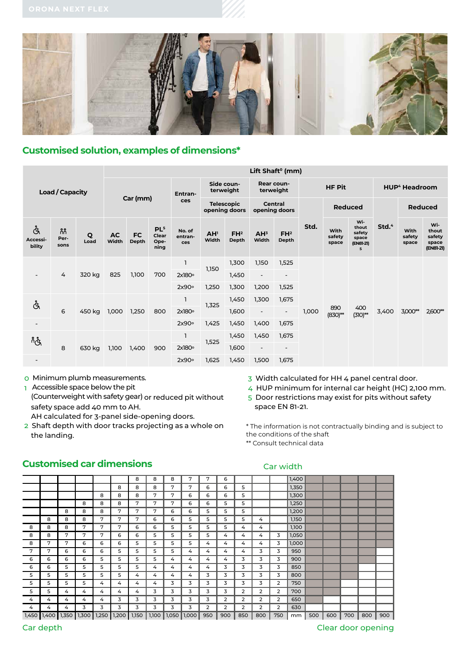

## **Customised solution, examples of dimensions\***

|                          |                      |           | Lift Shaft <sup>o</sup> (mm) |                    |                                          |                                    |                          |                                 |                          |                          |                |                         |                                                   |                   |                         |                                              |
|--------------------------|----------------------|-----------|------------------------------|--------------------|------------------------------------------|------------------------------------|--------------------------|---------------------------------|--------------------------|--------------------------|----------------|-------------------------|---------------------------------------------------|-------------------|-------------------------|----------------------------------------------|
| <b>Load / Capacity</b>   |                      | Car (mm)  |                              |                    | Entran-<br>ces                           | Side coun-<br>terweight            |                          |                                 | Rear coun-<br>terweight  |                          | <b>HF Pit</b>  |                         | <b>HUP<sup>4</sup> Headroom</b>                   |                   |                         |                                              |
|                          |                      |           |                              |                    |                                          | <b>Telescopic</b><br>opening doors |                          | <b>Central</b><br>opening doors |                          |                          | <b>Reduced</b> |                         |                                                   | <b>Reduced</b>    |                         |                                              |
| Å<br>Accessi-<br>bility  | កំកំ<br>Per-<br>sons | Q<br>Load | <b>AC</b><br>Width           | <b>FC</b><br>Depth | PL <sup>5</sup><br>Clear<br>Ope-<br>ning | No. of<br>entran-<br>ces           | AH <sup>1</sup><br>Width | FH <sup>2</sup><br>Depth        | AH <sup>3</sup><br>Width | FH <sup>2</sup><br>Depth | Std.           | With<br>safety<br>space | Wi-<br>thout<br>safety<br>space<br>(EN81-21)<br>5 | Std. <sup>4</sup> | With<br>safety<br>space | Wi-<br>thout<br>safety<br>space<br>(EN81-21) |
|                          |                      |           |                              |                    |                                          |                                    | 1,300                    | 1,150                           | 1,525                    |                          |                |                         |                                                   |                   |                         |                                              |
| $\overline{\phantom{a}}$ | 4                    | 320 kg    | 825                          | 1,100              | 700                                      | $2x180^\circ$                      | 1,150<br>1,250           | 1,450                           | $\overline{\phantom{a}}$ | $\overline{\phantom{a}}$ |                |                         | 400<br>$(310)$ **                                 | 3,400             |                         |                                              |
|                          |                      |           |                              |                    |                                          | 2x90°                              |                          | 1,300                           | 1,200                    | 1,525                    |                |                         |                                                   |                   |                         |                                              |
| Å                        |                      |           |                              |                    | 800                                      |                                    | 1,325<br>1,425           | 1,450                           | 1,300                    | 1,675                    | 1,000          | 890<br>$(830)$ **       |                                                   |                   | 3,000**                 | 2,600**                                      |
|                          | 6                    | 450 kg    | 1,000                        | 1,250              |                                          | 2x180°                             |                          | 1,600                           | $\overline{\phantom{a}}$ | $\overline{\phantom{a}}$ |                |                         |                                                   |                   |                         |                                              |
| $\overline{\phantom{a}}$ |                      |           |                              |                    |                                          | 2x90°                              |                          | 1,450                           | 1,400                    | 1,675                    |                |                         |                                                   |                   |                         |                                              |
| ڲڰ                       |                      | 630 kg    |                              | 1,400              | 900                                      |                                    | 1,525<br>1,625           | 1,450                           | 1,450                    | 1,675                    |                |                         |                                                   |                   |                         |                                              |
|                          | 8                    |           | 1,100                        |                    |                                          | 2x180°                             |                          | 1,600                           | $\overline{\phantom{a}}$ | $\overline{\phantom{a}}$ |                |                         |                                                   |                   |                         |                                              |
|                          |                      |           |                              |                    |                                          | 2x90°                              |                          | 1,450                           | 1,500                    | 1,675                    |                |                         |                                                   |                   |                         |                                              |

0 Minimum plumb measurements.

1 Accessible space below the pit (Counterweight with safety gear) or reduced pit without safety space add 40 mm to AH.

AH calculated for 3-panel side-opening doors.

- 2 Shaft depth with door tracks projecting as a whole on the landing.
- 3 Width calculated for HH 4 panel central door.
- 4 HUP minimum for internal car height (HC) 2,100 mm.

5 Door restrictions may exist for pits without safety space EN 81-21.

\* The information is not contractually binding and is subject to the conditions of the shaft

\*\* Consult technical data

Car width

|       |              |       |       |       |       | 8     | 8     | 8     | 7     | 7   | 6   |                |                |     | 1,400 |     |     |     |     |     |
|-------|--------------|-------|-------|-------|-------|-------|-------|-------|-------|-----|-----|----------------|----------------|-----|-------|-----|-----|-----|-----|-----|
|       |              |       |       |       | 8     | 8     | 8     | 7     | 7     | 6   | 6   | 5              |                |     | 1,350 |     |     |     |     |     |
|       |              |       |       | 8     | 8     | 8     | 7     | 7     | 6     | 6   | 6   | 5              |                |     | 1,300 |     |     |     |     |     |
|       |              |       | 8     | 8     | 8     | 7     | 7     | 7     | 6     | 6   | 5   | 5              |                |     | 1,250 |     |     |     |     |     |
|       |              | 8     | 8     | 8     | 7     | 7     | 7     | 6     | 6     | 5   | 5   | 5              |                |     | 1,200 |     |     |     |     |     |
|       | 8            | 8     | 8     | 7     | 7     | 7     | 6     | 6     | 5     | 5   | 5   | 5              | 4              |     | 1,150 |     |     |     |     |     |
| 8     | 8            | 8     | 7     | 7     | 7     | 6     | 6     | 5     | 5     | 5   | 5   | 4              | 4              |     | 1,100 |     |     |     |     |     |
| 8     | 8            | 7     | 7     | 7     | 6     | 6     | 5     | 5     | 5     | 5   | 4   | 4              | 4              | 3   | 1,050 |     |     |     |     |     |
| 8     | 7            | 7     | 6     | 6     | 6     | 5     | 5     | 5     | 5     | 4   | 4   | 4              | 4              | 3   | 1,000 |     |     |     |     |     |
| 7     | 7            | 6     | 6     | 6     | 5     | 5     | 5     | 5     | 4     | 4   | 4   | 4              | 3              | 3   | 950   |     |     |     |     |     |
| 6     | 6            | 6     | 6     | 5     | 5     | 5     | 5     | 4     | 4     | 4   | 4   | 3              | 3              | 3   | 900   |     |     |     |     |     |
| 6     | 6            | 5     | 5     | 5     | 5     | 5     | 4     | 4     | 4     | 4   | 3   | 3              | 3              | 3   | 850   |     |     |     |     |     |
| 5     | 5            | 5     | 5     | 5     | 5     | 4     | 4     | 4     | 4     | 3   | 3   | 3              | 3              | 3   | 800   |     |     |     |     |     |
| 5     | 5            | 5     | 5     | 4     | 4     | 4     | 4     | 3     | 3     | 3   | 3   | 3              | 3              | 2   | 750   |     |     |     |     |     |
| 5     | 5            | 4     | 4     | 4     | 4     | 4     | 3     | 3     | 3     | 3   | 3   | $\overline{2}$ | $\overline{2}$ | 2   | 700   |     |     |     |     |     |
| 4     | 4            | 4     | 4     | 4     | 3     | 3     | 3     | 3     | 3     | 3   | 2   | $\overline{2}$ | $\overline{2}$ | 2   | 650   |     |     |     |     |     |
| 4     | 4            | 4     | 3     | 3     | 3     | 3     | 3     | 3     | 3     | 2   | 2   | $\overline{2}$ | $\overline{2}$ | 2   | 630   |     |     |     |     |     |
| 1,450 | <b>1,400</b> | 1,350 | 1,300 | 1,250 | 1,200 | 1,150 | 1,100 | 1,050 | 1,000 | 950 | 900 | 850            | 800            | 750 | mm    | 500 | 600 | 700 | 800 | 900 |

## **Customised car dimensions**

Car depth Clear door opening